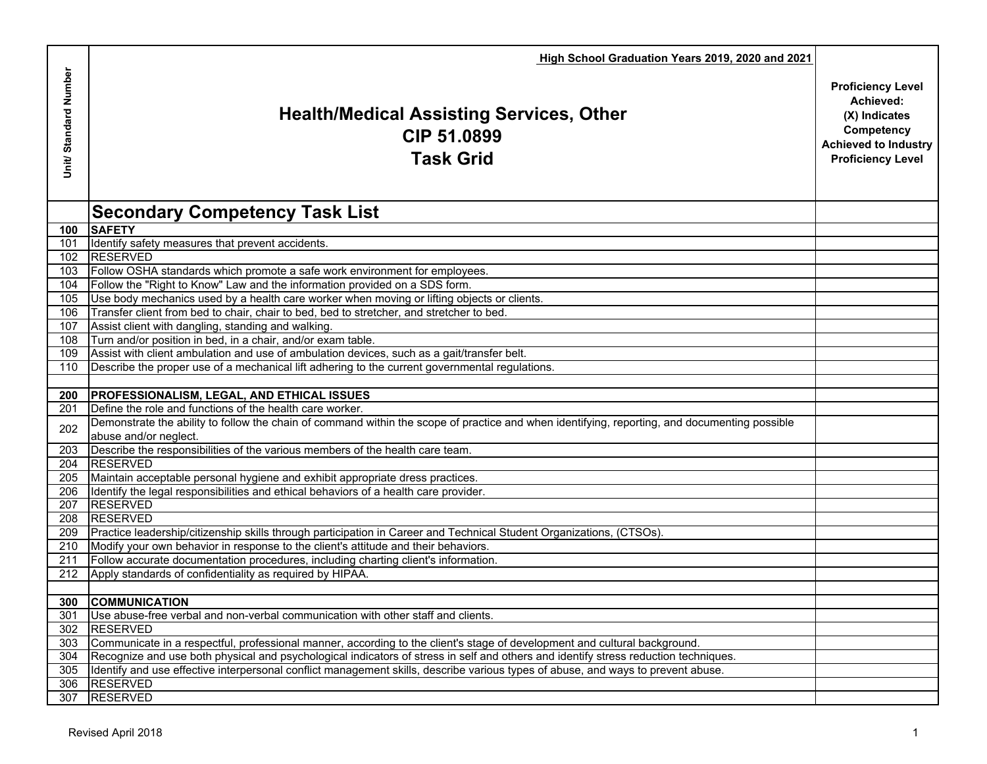|                      | High School Graduation Years 2019, 2020 and 2021                                                                                                                       |                                                                                                                                 |
|----------------------|------------------------------------------------------------------------------------------------------------------------------------------------------------------------|---------------------------------------------------------------------------------------------------------------------------------|
| Unit/Standard Number | <b>Health/Medical Assisting Services, Other</b><br>CIP 51.0899<br><b>Task Grid</b>                                                                                     | <b>Proficiency Level</b><br>Achieved:<br>(X) Indicates<br>Competency<br><b>Achieved to Industry</b><br><b>Proficiency Level</b> |
|                      | <b>Secondary Competency Task List</b>                                                                                                                                  |                                                                                                                                 |
| 100                  | <b>SAFETY</b>                                                                                                                                                          |                                                                                                                                 |
| 101                  | Identify safety measures that prevent accidents.                                                                                                                       |                                                                                                                                 |
| 102                  | <b>RESERVED</b>                                                                                                                                                        |                                                                                                                                 |
| 103                  | Follow OSHA standards which promote a safe work environment for employees.                                                                                             |                                                                                                                                 |
| 104                  | Follow the "Right to Know" Law and the information provided on a SDS form.                                                                                             |                                                                                                                                 |
| 105                  | Use body mechanics used by a health care worker when moving or lifting objects or clients.                                                                             |                                                                                                                                 |
| 106                  | Transfer client from bed to chair, chair to bed, bed to stretcher, and stretcher to bed.                                                                               |                                                                                                                                 |
| 107                  | Assist client with dangling, standing and walking.                                                                                                                     |                                                                                                                                 |
| 108                  | Turn and/or position in bed, in a chair, and/or exam table.                                                                                                            |                                                                                                                                 |
| 109                  | Assist with client ambulation and use of ambulation devices, such as a gait/transfer belt.                                                                             |                                                                                                                                 |
| 110                  | Describe the proper use of a mechanical lift adhering to the current governmental regulations.                                                                         |                                                                                                                                 |
|                      |                                                                                                                                                                        |                                                                                                                                 |
| 200                  | <b>PROFESSIONALISM, LEGAL, AND ETHICAL ISSUES</b>                                                                                                                      |                                                                                                                                 |
| 201                  | Define the role and functions of the health care worker.                                                                                                               |                                                                                                                                 |
| 202                  | Demonstrate the ability to follow the chain of command within the scope of practice and when identifying, reporting, and documenting possible<br>abuse and/or neglect. |                                                                                                                                 |
| 203                  | Describe the responsibilities of the various members of the health care team.                                                                                          |                                                                                                                                 |
| 204                  | <b>RESERVED</b>                                                                                                                                                        |                                                                                                                                 |
| 205                  | Maintain acceptable personal hygiene and exhibit appropriate dress practices.                                                                                          |                                                                                                                                 |
| 206                  | Identify the legal responsibilities and ethical behaviors of a health care provider.                                                                                   |                                                                                                                                 |
| 207                  | <b>RESERVED</b>                                                                                                                                                        |                                                                                                                                 |
| 208                  | <b>RESERVED</b>                                                                                                                                                        |                                                                                                                                 |
| 209                  | Practice leadership/citizenship skills through participation in Career and Technical Student Organizations, (CTSOs).                                                   |                                                                                                                                 |
| 210                  | Modify your own behavior in response to the client's attitude and their behaviors.                                                                                     |                                                                                                                                 |
| 211                  | Follow accurate documentation procedures, including charting client's information.                                                                                     |                                                                                                                                 |
| 212                  | Apply standards of confidentiality as required by HIPAA.                                                                                                               |                                                                                                                                 |
|                      | 300 COMMUNICATION                                                                                                                                                      |                                                                                                                                 |
| 301                  | Use abuse-free verbal and non-verbal communication with other staff and clients.                                                                                       |                                                                                                                                 |
| 302                  | <b>RESERVED</b>                                                                                                                                                        |                                                                                                                                 |
| 303                  | Communicate in a respectful, professional manner, according to the client's stage of development and cultural background.                                              |                                                                                                                                 |
| 304                  | Recognize and use both physical and psychological indicators of stress in self and others and identify stress reduction techniques.                                    |                                                                                                                                 |
| 305                  | Identify and use effective interpersonal conflict management skills, describe various types of abuse, and ways to prevent abuse.                                       |                                                                                                                                 |
| 306                  | <b>RESERVED</b>                                                                                                                                                        |                                                                                                                                 |
| 307                  | <b>RESERVED</b>                                                                                                                                                        |                                                                                                                                 |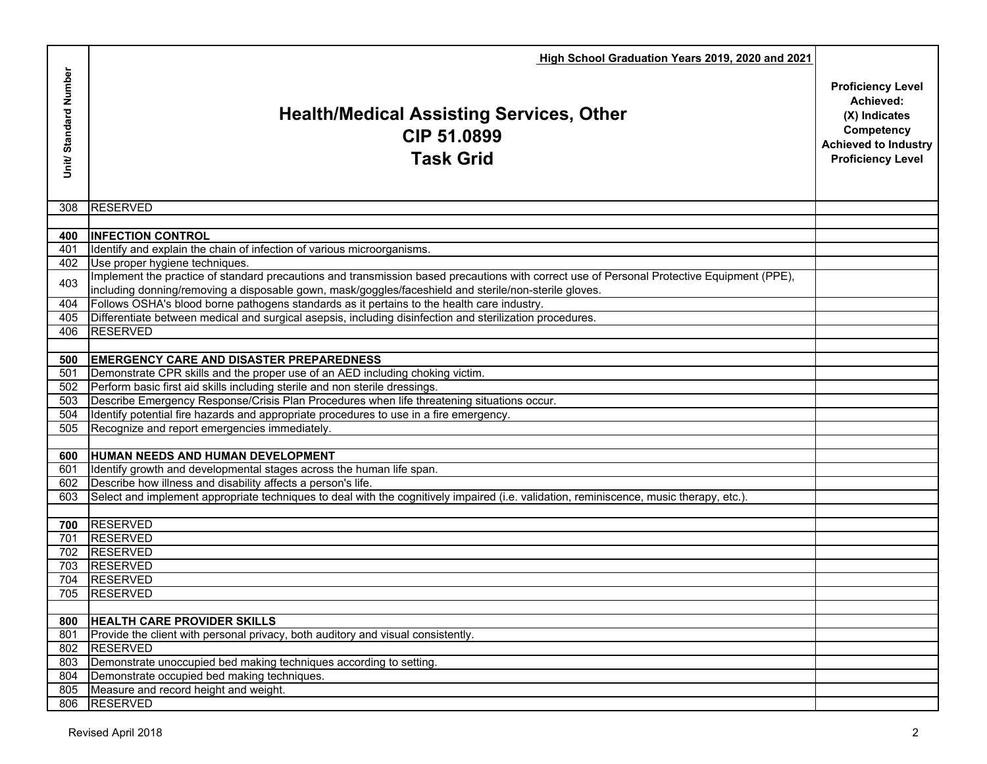|                       | High School Graduation Years 2019, 2020 and 2021                                                                                                                                                       |                                                                                                                                 |
|-----------------------|--------------------------------------------------------------------------------------------------------------------------------------------------------------------------------------------------------|---------------------------------------------------------------------------------------------------------------------------------|
| Unit/ Standard Number | <b>Health/Medical Assisting Services, Other</b><br>CIP 51.0899<br><b>Task Grid</b>                                                                                                                     | <b>Proficiency Level</b><br>Achieved:<br>(X) Indicates<br>Competency<br><b>Achieved to Industry</b><br><b>Proficiency Level</b> |
| 308                   | <b>RESERVED</b>                                                                                                                                                                                        |                                                                                                                                 |
|                       |                                                                                                                                                                                                        |                                                                                                                                 |
| 400                   | <b>INFECTION CONTROL</b>                                                                                                                                                                               |                                                                                                                                 |
| 401<br>402            | Identify and explain the chain of infection of various microorganisms.<br>Use proper hygiene techniques.                                                                                               |                                                                                                                                 |
| 403                   | Implement the practice of standard precautions and transmission based precautions with correct use of Personal Protective Equipment (PPE),                                                             |                                                                                                                                 |
|                       | including donning/removing a disposable gown, mask/goggles/faceshield and sterile/non-sterile gloves.                                                                                                  |                                                                                                                                 |
| 404<br>405            | Follows OSHA's blood borne pathogens standards as it pertains to the health care industry.<br>Differentiate between medical and surgical asepsis, including disinfection and sterilization procedures. |                                                                                                                                 |
| 406                   | <b>RESERVED</b>                                                                                                                                                                                        |                                                                                                                                 |
|                       |                                                                                                                                                                                                        |                                                                                                                                 |
| 500                   | <b>EMERGENCY CARE AND DISASTER PREPAREDNESS</b>                                                                                                                                                        |                                                                                                                                 |
| 501                   | Demonstrate CPR skills and the proper use of an AED including choking victim.                                                                                                                          |                                                                                                                                 |
| 502                   | Perform basic first aid skills including sterile and non sterile dressings.                                                                                                                            |                                                                                                                                 |
| 503                   | Describe Emergency Response/Crisis Plan Procedures when life threatening situations occur.                                                                                                             |                                                                                                                                 |
| 504                   | Identify potential fire hazards and appropriate procedures to use in a fire emergency.                                                                                                                 |                                                                                                                                 |
| 505                   | Recognize and report emergencies immediately.                                                                                                                                                          |                                                                                                                                 |
|                       |                                                                                                                                                                                                        |                                                                                                                                 |
| 600<br>601            | HUMAN NEEDS AND HUMAN DEVELOPMENT<br>Identify growth and developmental stages across the human life span.                                                                                              |                                                                                                                                 |
| 602                   | Describe how illness and disability affects a person's life.                                                                                                                                           |                                                                                                                                 |
| 603                   | Select and implement appropriate techniques to deal with the cognitively impaired (i.e. validation, reminiscence, music therapy, etc.).                                                                |                                                                                                                                 |
|                       |                                                                                                                                                                                                        |                                                                                                                                 |
|                       | 700 RESERVED                                                                                                                                                                                           |                                                                                                                                 |
| 701                   | <b>RESERVED</b>                                                                                                                                                                                        |                                                                                                                                 |
| 702                   | <b>RESERVED</b>                                                                                                                                                                                        |                                                                                                                                 |
| 703                   | <b>RESERVED</b>                                                                                                                                                                                        |                                                                                                                                 |
| 704                   | <b>RESERVED</b>                                                                                                                                                                                        |                                                                                                                                 |
| 705                   | <b>RESERVED</b>                                                                                                                                                                                        |                                                                                                                                 |
|                       |                                                                                                                                                                                                        |                                                                                                                                 |
| 800<br>801            | <b>HEALTH CARE PROVIDER SKILLS</b><br>Provide the client with personal privacy, both auditory and visual consistently.                                                                                 |                                                                                                                                 |
| 802                   | <b>RESERVED</b>                                                                                                                                                                                        |                                                                                                                                 |
| 803                   | Demonstrate unoccupied bed making techniques according to setting.                                                                                                                                     |                                                                                                                                 |
| 804                   | Demonstrate occupied bed making techniques.                                                                                                                                                            |                                                                                                                                 |
| 805                   | Measure and record height and weight.                                                                                                                                                                  |                                                                                                                                 |
| 806                   | <b>RESERVED</b>                                                                                                                                                                                        |                                                                                                                                 |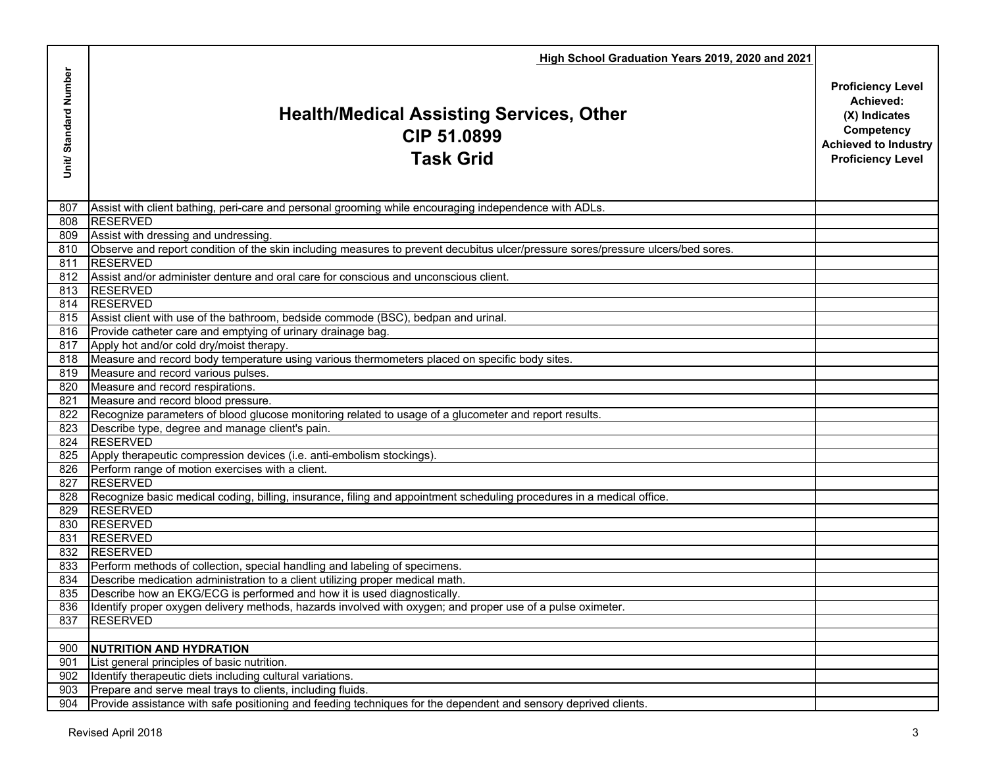|                      | High School Graduation Years 2019, 2020 and 2021                                                                                     |                                                                                                                                 |
|----------------------|--------------------------------------------------------------------------------------------------------------------------------------|---------------------------------------------------------------------------------------------------------------------------------|
| Unit/Standard Number | <b>Health/Medical Assisting Services, Other</b><br>CIP 51.0899<br><b>Task Grid</b>                                                   | <b>Proficiency Level</b><br>Achieved:<br>(X) Indicates<br>Competency<br><b>Achieved to Industry</b><br><b>Proficiency Level</b> |
| 807                  | Assist with client bathing, peri-care and personal grooming while encouraging independence with ADLs.                                |                                                                                                                                 |
|                      | 808 RESERVED                                                                                                                         |                                                                                                                                 |
|                      | 809 Assist with dressing and undressing.                                                                                             |                                                                                                                                 |
|                      | 810 Observe and report condition of the skin including measures to prevent decubitus ulcer/pressure sores/pressure ulcers/bed sores. |                                                                                                                                 |
|                      | 811 RESERVED                                                                                                                         |                                                                                                                                 |
|                      | 812 Assist and/or administer denture and oral care for conscious and unconscious client.                                             |                                                                                                                                 |
|                      | 813 RESERVED                                                                                                                         |                                                                                                                                 |
|                      | 814 RESERVED                                                                                                                         |                                                                                                                                 |
|                      | 815 Assist client with use of the bathroom, bedside commode (BSC), bedpan and urinal.                                                |                                                                                                                                 |
|                      | 816 Provide catheter care and emptying of urinary drainage bag.<br>817 Apply hot and/or cold dry/moist therapy.                      |                                                                                                                                 |
|                      | 818 Measure and record body temperature using various thermometers placed on specific body sites.                                    |                                                                                                                                 |
|                      | 819 Measure and record various pulses.                                                                                               |                                                                                                                                 |
|                      | 820 Measure and record respirations.                                                                                                 |                                                                                                                                 |
|                      | 821 Measure and record blood pressure.                                                                                               |                                                                                                                                 |
|                      | 822 Recognize parameters of blood glucose monitoring related to usage of a glucometer and report results.                            |                                                                                                                                 |
|                      | 823 Describe type, degree and manage client's pain.                                                                                  |                                                                                                                                 |
|                      | 824 RESERVED                                                                                                                         |                                                                                                                                 |
|                      | 825 Apply therapeutic compression devices (i.e. anti-embolism stockings).                                                            |                                                                                                                                 |
|                      | 826 Perform range of motion exercises with a client.                                                                                 |                                                                                                                                 |
|                      | 827 RESERVED                                                                                                                         |                                                                                                                                 |
|                      | 828 Recognize basic medical coding, billing, insurance, filing and appointment scheduling procedures in a medical office             |                                                                                                                                 |
|                      | 829 RESERVED                                                                                                                         |                                                                                                                                 |
|                      | 830 RESERVED                                                                                                                         |                                                                                                                                 |
|                      | 831 RESERVED                                                                                                                         |                                                                                                                                 |
|                      | 832 RESERVED                                                                                                                         |                                                                                                                                 |
|                      | 833 Perform methods of collection, special handling and labeling of specimens.                                                       |                                                                                                                                 |
|                      | 834 Describe medication administration to a client utilizing proper medical math.                                                    |                                                                                                                                 |
|                      | 835   Describe how an EKG/ECG is performed and how it is used diagnostically.                                                        |                                                                                                                                 |
|                      | 836 Identify proper oxygen delivery methods, hazards involved with oxygen; and proper use of a pulse oximeter.                       |                                                                                                                                 |
| 837                  | <b>RESERVED</b>                                                                                                                      |                                                                                                                                 |
|                      |                                                                                                                                      |                                                                                                                                 |
| 900                  | <b>NUTRITION AND HYDRATION</b>                                                                                                       |                                                                                                                                 |
| 901                  | List general principles of basic nutrition.                                                                                          |                                                                                                                                 |
| 902                  | Identify therapeutic diets including cultural variations.                                                                            |                                                                                                                                 |
| 903                  | Prepare and serve meal trays to clients, including fluids.                                                                           |                                                                                                                                 |
| 904                  | Provide assistance with safe positioning and feeding techniques for the dependent and sensory deprived clients.                      |                                                                                                                                 |